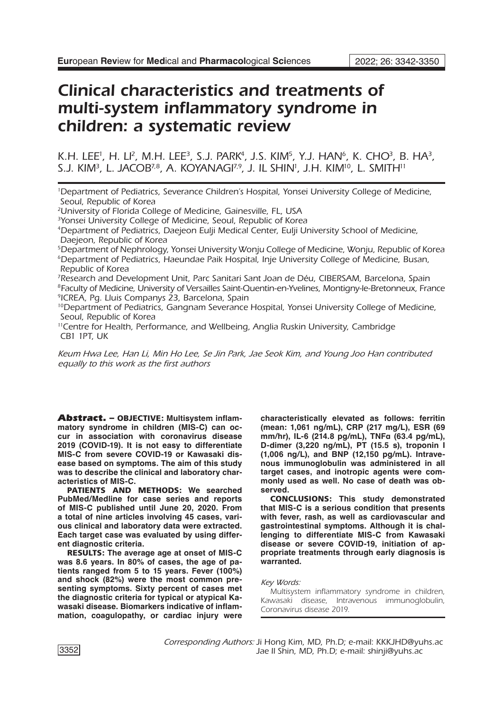# Clinical characteristics and treatments of multi-system inflammatory syndrome in children: a systematic review

K.H. LEE', H. LI<sup>2</sup>, M.H. LEE<sup>3</sup>, S.J. PARK<sup>4</sup>, J.S. KIM<sup>5</sup>, Y.J. HAN<sup>6</sup>, K. CHO<sup>3</sup>, B. HA<sup>3</sup>, s.j. Kim<sup>3</sup>, L. Jacob<sup>7,8</sup>, A. Koyanagi<sup>7,9</sup>, J. Il Shin', J.H. Kim<sup>10</sup>, L. Smith''

1 Department of Pediatrics, Severance Children's Hospital, Yonsei University College of Medicine, Seoul, Republic of Korea

2University of Florida College of Medicine, Gainesville, FL, USA

<sup>3</sup>Yonsei University College of Medicine, Seoul, Republic of Korea

4Department of Pediatrics, Daejeon Eulji Medical Center, Eulji University School of Medicine, Daejeon, Republic of Korea

5Department of Nephrology, Yonsei University Wonju College of Medicine, Wonju, Republic of Korea <sup>6</sup>Department of Pediatrics, Haeundae Paik Hospital, Inje University College of Medicine, Busan, Republic of Korea

7 Research and Development Unit, Parc Sanitari Sant Joan de Déu, CIBERSAM, Barcelona, Spain 8Faculty of Medicine, University of Versailles Saint-Quentin-en-Yvelines, Montigny-le-Bretonneux, France 9ICREA, Pg. Lluis Companys 23, Barcelona, Spain

<sup>10</sup>Department of Pediatrics, Gangnam Severance Hospital, Yonsei University College of Medicine, Seoul, Republic of Korea

11Centre for Health, Performance, and Wellbeing, Anglia Ruskin University, Cambridge CB1 1PT, UK

*Keum Hwa Lee, Han Li, Min Ho Lee, Se Jin Park, Jae Seok Kim, and Young Joo Han contributed equally to this work as the first authors*

Abstract. – OBJECTIVE: **Multisystem inflammatory syndrome in children (MIS-C) can occur in association with coronavirus disease 2019 (COVID-19). It is not easy to differentiate MIS-C from severe COVID-19 or Kawasaki disease based on symptoms. The aim of this study was to describe the clinical and laboratory characteristics of MIS-C.**

PATIENTS AND METHODS: **We searched PubMed/Medline for case series and reports of MIS-C published until June 20, 2020. From a total of nine articles involving 45 cases, various clinical and laboratory data were extracted. Each target case was evaluated by using different diagnostic criteria.** 

RESULTS: **The average age at onset of MIS-C was 8.6 years. In 80% of cases, the age of patients ranged from 5 to 15 years. Fever (100%) and shock (82%) were the most common presenting symptoms. Sixty percent of cases met the diagnostic criteria for typical or atypical Kawasaki disease. Biomarkers indicative of inflammation, coagulopathy, or cardiac injury were** 

**characteristically elevated as follows: ferritin (mean: 1,061 ng/mL), CRP (217 mg/L), ESR (69 mm/hr), IL-6 (214.8 pg/mL), TNFα (63.4 pg/mL), D-dimer (3,220 ng/mL), PT (15.5 s), troponin I (1,006 ng/L), and BNP (12,150 pg/mL). Intravenous immunoglobulin was administered in all target cases, and inotropic agents were commonly used as well. No case of death was observed.**

CONCLUSIONS: **This study demonstrated that MIS-C is a serious condition that presents with fever, rash, as well as cardiovascular and gastrointestinal symptoms. Although it is challenging to differentiate MIS-C from Kawasaki disease or severe COVID-19, initiation of appropriate treatments through early diagnosis is warranted.**

#### *Key Words:*

Multisystem inflammatory syndrome in children, Kawasaki disease, Intravenous immunoglobulin, Coronavirus disease 2019.

*Corresponding Authors:* Ji Hong Kim, MD, Ph.D; e-mail: KKKJHD@yuhs.ac Jae Il Shin, MD, Ph.D; e-mail: shinji@yuhs.ac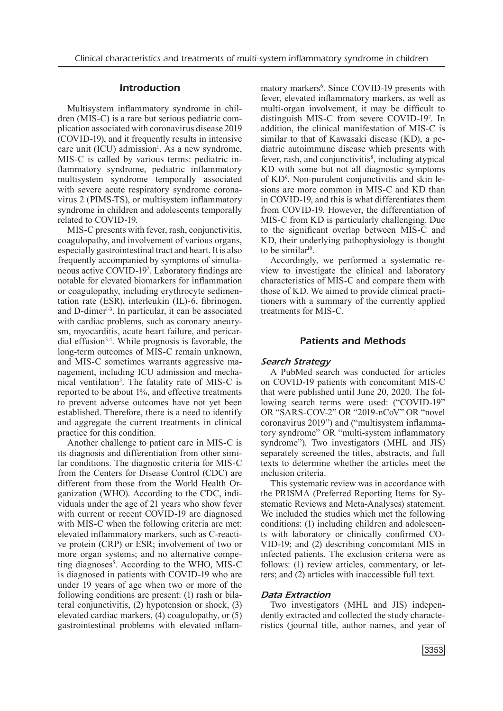## Introduction

Multisystem inflammatory syndrome in children (MIS-C) is a rare but serious pediatric complication associated with coronavirus disease 2019 (COVID-19), and it frequently results in intensive care unit  $(ICU)$  admission<sup>1</sup>. As a new syndrome, MIS-C is called by various terms: pediatric inflammatory syndrome, pediatric inflammatory multisystem syndrome temporally associated with severe acute respiratory syndrome coronavirus 2 (PIMS-TS), or multisystem inflammatory syndrome in children and adolescents temporally related to COVID-19.

MIS-C presents with fever, rash, conjunctivitis, coagulopathy, and involvement of various organs, especially gastrointestinal tract and heart. It is also frequently accompanied by symptoms of simultaneous active COVID-192 . Laboratory findings are notable for elevated biomarkers for inflammation or coagulopathy, including erythrocyte sedimentation rate (ESR), interleukin (IL)-6, fibrinogen, and D-dimer<sup>1-3</sup>. In particular, it can be associated with cardiac problems, such as coronary aneurysm, myocarditis, acute heart failure, and pericardial effusion3,4. While prognosis is favorable, the long-term outcomes of MIS-C remain unknown, and MIS-C sometimes warrants aggressive management, including ICU admission and mechanical ventilation<sup>3</sup>. The fatality rate of MIS-C is reported to be about 1%, and effective treatments to prevent adverse outcomes have not yet been established. Therefore, there is a need to identify and aggregate the current treatments in clinical practice for this condition.

Another challenge to patient care in MIS-C is its diagnosis and differentiation from other similar conditions. The diagnostic criteria for MIS-C from the Centers for Disease Control (CDC) are different from those from the World Health Organization (WHO). According to the CDC, individuals under the age of 21 years who show fever with current or recent COVID-19 are diagnosed with MIS-C when the following criteria are met: elevated inflammatory markers, such as C-reactive protein (CRP) or ESR; involvement of two or more organ systems; and no alternative competing diagnoses<sup>5</sup>. According to the WHO, MIS-C is diagnosed in patients with COVID-19 who are under 19 years of age when two or more of the following conditions are present: (1) rash or bilateral conjunctivitis, (2) hypotension or shock, (3) elevated cardiac markers, (4) coagulopathy, or (5) gastrointestinal problems with elevated inflam-

matory markers<sup>6</sup>. Since COVID-19 presents with fever, elevated inflammatory markers, as well as multi-organ involvement, it may be difficult to distinguish MIS-C from severe COVID-19<sup>7</sup> . In addition, the clinical manifestation of MIS-C is similar to that of Kawasaki disease (KD), a pediatric autoimmune disease which presents with fever, rash, and conjunctivitis<sup>8</sup>, including atypical KD with some but not all diagnostic symptoms of KD9 . Non-purulent conjunctivitis and skin lesions are more common in MIS-C and KD than in COVID-19, and this is what differentiates them from COVID-19. However, the differentiation of MIS-C from KD is particularly challenging. Due to the significant overlap between MIS-C and KD, their underlying pathophysiology is thought to be similar<sup>10</sup>.

Accordingly, we performed a systematic review to investigate the clinical and laboratory characteristics of MIS-C and compare them with those of KD. We aimed to provide clinical practitioners with a summary of the currently applied treatments for MIS-C.

#### Patients and Methods

## *Search Strategy*

A PubMed search was conducted for articles on COVID-19 patients with concomitant MIS-C that were published until June 20, 2020. The following search terms were used: ("COVID-19" OR "SARS-COV-2" OR "2019-nCoV" OR "novel coronavirus 2019") and ("multisystem inflammatory syndrome" OR "multi-system inflammatory syndrome"). Two investigators (MHL and JIS) separately screened the titles, abstracts, and full texts to determine whether the articles meet the inclusion criteria.

This systematic review was in accordance with the PRISMA (Preferred Reporting Items for Systematic Reviews and Meta-Analyses) statement. We included the studies which met the following conditions: (1) including children and adolescents with laboratory or clinically confirmed CO-VID-19; and (2) describing concomitant MIS in infected patients. The exclusion criteria were as follows: (1) review articles, commentary, or letters; and (2) articles with inaccessible full text.

## *Data Extraction*

Two investigators (MHL and JIS) independently extracted and collected the study characteristics (journal title, author names, and year of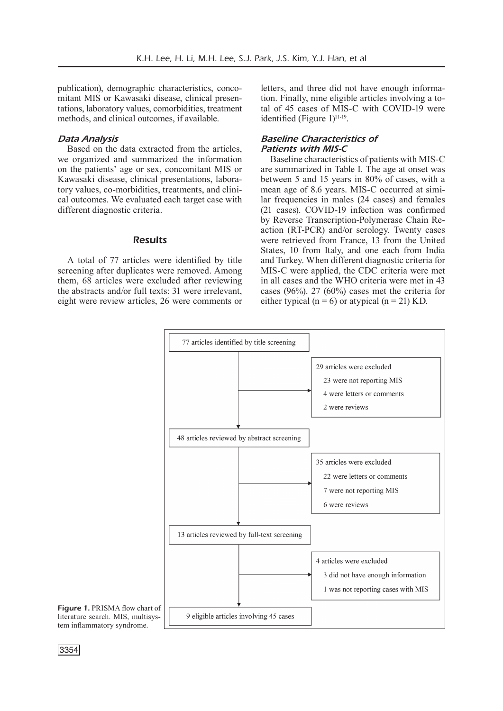publication), demographic characteristics, concomitant MIS or Kawasaki disease, clinical presentations, laboratory values, comorbidities, treatment methods, and clinical outcomes, if available.

#### *Data Analysis*

Based on the data extracted from the articles, we organized and summarized the information on the patients' age or sex, concomitant MIS or Kawasaki disease, clinical presentations, laboratory values, co-morbidities, treatments, and clinical outcomes. We evaluated each target case with different diagnostic criteria.

## **Results**

A total of 77 articles were identified by title screening after duplicates were removed. Among them, 68 articles were excluded after reviewing the abstracts and/or full texts: 31 were irrelevant, eight were review articles, 26 were comments or

letters, and three did not have enough information. Finally, nine eligible articles involving a total of 45 cases of MIS-C with COVID-19 were identified (Figure  $1$ )<sup>11-19</sup>.

#### *Baseline Characteristics of Patients with MIS-C*

Baseline characteristics of patients with MIS-C are summarized in Table I. The age at onset was between 5 and 15 years in 80% of cases, with a mean age of 8.6 years. MIS-C occurred at similar frequencies in males (24 cases) and females (21 cases). COVID-19 infection was confirmed by Reverse Transcription-Polymerase Chain Reaction (RT-PCR) and/or serology. Twenty cases were retrieved from France, 13 from the United States, 10 from Italy, and one each from India and Turkey. When different diagnostic criteria for MIS-C were applied, the CDC criteria were met in all cases and the WHO criteria were met in 43 cases (96%). 27 (60%) cases met the criteria for either typical ( $n = 6$ ) or atypical ( $n = 21$ ) KD.



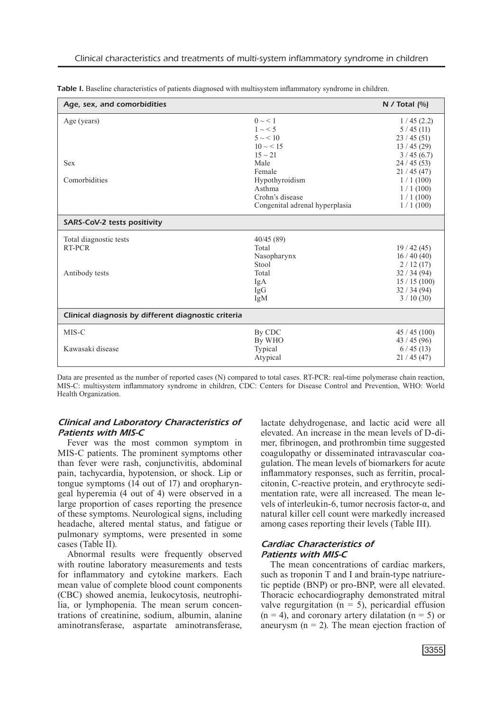| Age, sex, and comorbidities                         |                                | N / Total $[%]$ |  |
|-----------------------------------------------------|--------------------------------|-----------------|--|
| Age (years)                                         | $0 \sim 1$                     | 1/45(2.2)       |  |
|                                                     | $1 \sim 5$                     | 5/45(11)        |  |
|                                                     | $5 \sim 10$                    | 23/45(51)       |  |
|                                                     | $10 \sim 15$                   | 13/45(29)       |  |
|                                                     | $15 \sim 21$                   | 3/45(6.7)       |  |
| <b>Sex</b>                                          | Male                           | 24/45(53)       |  |
|                                                     | Female                         | 21 / 45 (47)    |  |
| Comorbidities                                       | Hypothyroidism                 | 1/1(100)        |  |
|                                                     | Asthma                         | 1/1(100)        |  |
|                                                     | Crohn's disease                | 1/1(100)        |  |
|                                                     | Congenital adrenal hyperplasia | 1/1(100)        |  |
| SARS-CoV-2 tests positivity                         |                                |                 |  |
| Total diagnostic tests                              | 40/45(89)                      |                 |  |
| RT-PCR                                              | Total                          | 19/42(45)       |  |
|                                                     | Nasopharynx                    | 16/40(40)       |  |
|                                                     | Stool                          | 2/12(17)        |  |
| Antibody tests                                      | Total                          | 32/34(94)       |  |
|                                                     | IgA                            | 15/15(100)      |  |
|                                                     | IgG                            | 32/34(94)       |  |
|                                                     | IgM                            | 3/10(30)        |  |
| Clinical diagnosis by different diagnostic criteria |                                |                 |  |
| MIS-C                                               | By CDC                         | 45/45(100)      |  |
|                                                     | By WHO                         | 43/45(96)       |  |
| Kawasaki disease                                    | Typical                        | 6/45(13)        |  |
|                                                     | Atypical                       | 21/45(47)       |  |

Table I. Baseline characteristics of patients diagnosed with multisystem inflammatory syndrome in children.

Data are presented as the number of reported cases (N) compared to total cases. RT-PCR: real-time polymerase chain reaction, MIS-C: multisystem inflammatory syndrome in children, CDC: Centers for Disease Control and Prevention, WHO: World Health Organization.

## *Clinical and Laboratory Characteristics of Patients with MIS-C*

Fever was the most common symptom in MIS-C patients. The prominent symptoms other than fever were rash, conjunctivitis, abdominal pain, tachycardia, hypotension, or shock. Lip or tongue symptoms (14 out of 17) and oropharyngeal hyperemia (4 out of 4) were observed in a large proportion of cases reporting the presence of these symptoms. Neurological signs, including headache, altered mental status, and fatigue or pulmonary symptoms, were presented in some cases (Table II).

Abnormal results were frequently observed with routine laboratory measurements and tests for inflammatory and cytokine markers. Each mean value of complete blood count components (CBC) showed anemia, leukocytosis, neutrophilia, or lymphopenia. The mean serum concentrations of creatinine, sodium, albumin, alanine aminotransferase, aspartate aminotransferase, lactate dehydrogenase, and lactic acid were all elevated. An increase in the mean levels of D-dimer, fibrinogen, and prothrombin time suggested coagulopathy or disseminated intravascular coagulation. The mean levels of biomarkers for acute inflammatory responses, such as ferritin, procalcitonin, C-reactive protein, and erythrocyte sedimentation rate, were all increased. The mean levels of interleukin-6, tumor necrosis factor-α, and natural killer cell count were markedly increased among cases reporting their levels (Table III).

## *Cardiac Characteristics of Patients with MIS-C*

The mean concentrations of cardiac markers, such as troponin T and I and brain-type natriuretic peptide (BNP) or pro-BNP, were all elevated. Thoracic echocardiography demonstrated mitral valve regurgitation  $(n = 5)$ , pericardial effusion  $(n = 4)$ , and coronary artery dilatation  $(n = 5)$  or aneurysm  $(n = 2)$ . The mean ejection fraction of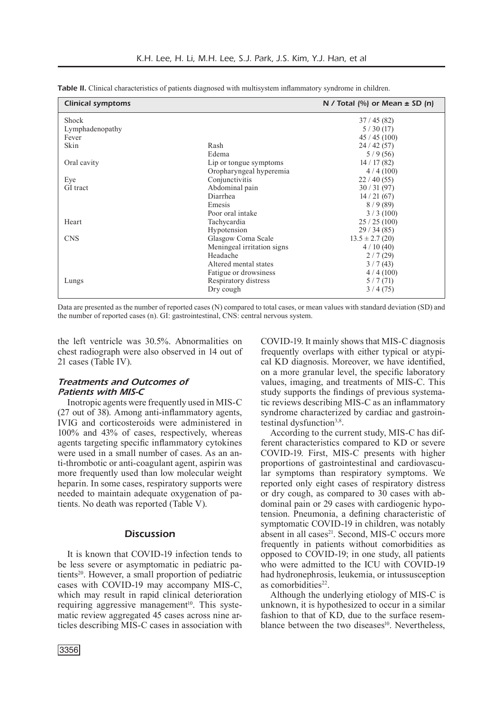| <b>Clinical symptoms</b> |                            | N / Total $\left(\% \right)$ or Mean $\pm$ SD $\left(n\right)$ |
|--------------------------|----------------------------|----------------------------------------------------------------|
| <b>Shock</b>             |                            | 37/45(82)                                                      |
| Lymphadenopathy          |                            | 5/30(17)                                                       |
| Fever                    |                            | 45/45(100)                                                     |
| Skin                     | Rash                       | 24/42(57)                                                      |
|                          | Edema                      | 5/9(56)                                                        |
| Oral cavity              | Lip or tongue symptoms     | 14/17(82)                                                      |
|                          | Oropharyngeal hyperemia    | 4/4(100)                                                       |
| Eye                      | Conjunctivitis             | 22/40(55)                                                      |
| GI tract                 | Abdominal pain             | 30/31(97)                                                      |
|                          | Diarrhea                   | 14/21(67)                                                      |
|                          | Emesis                     | 8/9(89)                                                        |
|                          | Poor oral intake           | 3/3(100)                                                       |
| Heart                    | Tachycardia                | 25/25(100)                                                     |
|                          | Hypotension                | 29/34(85)                                                      |
| <b>CNS</b>               | Glasgow Coma Scale         | $13.5 \pm 2.7$ (20)                                            |
|                          | Meningeal irritation signs | 4/10(40)                                                       |
|                          | Headache                   | 2/7(29)                                                        |
|                          | Altered mental states      | 3/7(43)                                                        |
|                          | Fatigue or drowsiness      | 4/4(100)                                                       |
| Lungs                    | Respiratory distress       | 5/7(71)                                                        |
|                          | Dry cough                  | 3/4(75)                                                        |

Table II. Clinical characteristics of patients diagnosed with multisystem inflammatory syndrome in children.

Data are presented as the number of reported cases (N) compared to total cases, or mean values with standard deviation (SD) and the number of reported cases (n). GI: gastrointestinal, CNS: central nervous system.

the left ventricle was 30.5%. Abnormalities on chest radiograph were also observed in 14 out of 21 cases (Table IV).

## *Treatments and Outcomes of Patients with MIS-C*

Inotropic agents were frequently used in MIS-C (27 out of 38). Among anti-inflammatory agents, IVIG and corticosteroids were administered in 100% and 43% of cases, respectively, whereas agents targeting specific inflammatory cytokines were used in a small number of cases. As an anti-thrombotic or anti-coagulant agent, aspirin was more frequently used than low molecular weight heparin. In some cases, respiratory supports were needed to maintain adequate oxygenation of patients. No death was reported (Table V).

## **Discussion**

It is known that COVID-19 infection tends to be less severe or asymptomatic in pediatric patients<sup>20</sup>. However, a small proportion of pediatric cases with COVID-19 may accompany MIS-C, which may result in rapid clinical deterioration requiring aggressive management<sup>10</sup>. This systematic review aggregated 45 cases across nine articles describing MIS-C cases in association with

COVID-19. It mainly shows that MIS-C diagnosis frequently overlaps with either typical or atypical KD diagnosis. Moreover, we have identified, on a more granular level, the specific laboratory values, imaging, and treatments of MIS-C. This study supports the findings of previous systematic reviews describing MIS-C as an inflammatory syndrome characterized by cardiac and gastrointestinal dysfunction $3,8$ .

According to the current study, MIS-C has different characteristics compared to KD or severe COVID-19. First, MIS-C presents with higher proportions of gastrointestinal and cardiovascular symptoms than respiratory symptoms. We reported only eight cases of respiratory distress or dry cough, as compared to  $30$  cases with abdominal pain or 29 cases with cardiogenic hypotension. Pneumonia, a defining characteristic of symptomatic COVID-19 in children, was notably absent in all cases<sup>21</sup>. Second, MIS-C occurs more frequently in patients without comorbidities as opposed to COVID-19; in one study, all patients who were admitted to the ICU with COVID-19 had hydronephrosis, leukemia, or intussusception as comorbidities $22$ .

Although the underlying etiology of MIS-C is unknown, it is hypothesized to occur in a similar fashion to that of KD, due to the surface resemblance between the two diseases<sup>10</sup>. Nevertheless,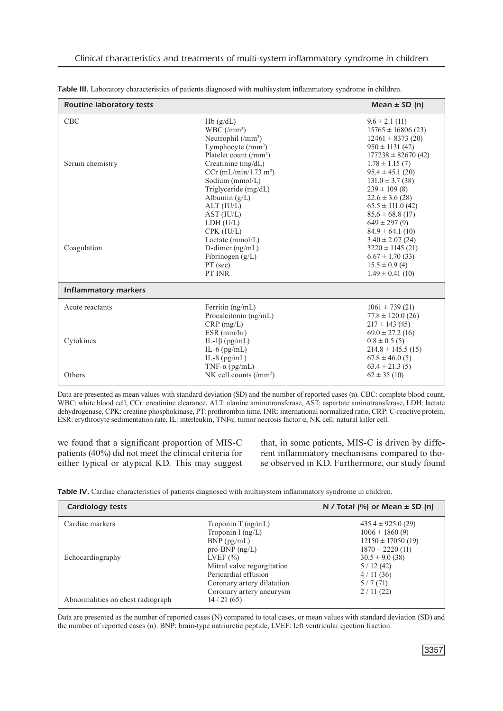| <b>Routine laboratory tests</b> |                                                                                                                                                                                                                                                                   | Mean $\pm$ SD (n)                                                                                                                                                                                                                                               |
|---------------------------------|-------------------------------------------------------------------------------------------------------------------------------------------------------------------------------------------------------------------------------------------------------------------|-----------------------------------------------------------------------------------------------------------------------------------------------------------------------------------------------------------------------------------------------------------------|
| <b>CBC</b><br>Serum chemistry   | Hb(g/dL)<br>$WBC/(mm^3)$<br>Neutrophil $(\text{/mm}^3)$<br>Lymphocyte $(\text{/mm}^3)$<br>Platelet count $\frac{m^3}{2}$<br>Creatinine (mg/dL)<br>$CCr$ (mL/min/1.73 m <sup>2</sup> )<br>Sodium (mmol/L)<br>Triglyceride (mg/dL)<br>Albumin $(g/L)$<br>ALT (IU/L) | $9.6 \pm 2.1$ (11)<br>$15765 \pm 16806(23)$<br>$12461 \pm 8373(20)$<br>$950 \pm 1131$ (42)<br>$177238 \pm 82670(42)$<br>$1.78 \pm 1.15(7)$<br>$95.4 \pm 45.1$ (20)<br>$131.0 \pm 3.7$ (38)<br>$239 \pm 109$ (8)<br>$22.6 \pm 3.6$ (28)<br>$65.5 \pm 111.0$ (42) |
| Coagulation                     | AST (IU/L)<br>LDH (U/L)<br>CPK (IU/L)<br>Lactate (mmol/L)<br>D-dimer $(ng/mL)$<br>Fibrinogen $(g/L)$<br>PT (sec)<br>PT INR                                                                                                                                        | $85.6 \pm 68.8$ (17)<br>$649 \pm 297(9)$<br>$84.9 \pm 64.1$ (10)<br>$3.40 \pm 2.07(24)$<br>$3220 \pm 1145$ (21)<br>$6.67 \pm 1.70$ (33)<br>$15.5 \pm 0.9$ (4)<br>$1.49 \pm 0.41$ (10)                                                                           |
| <b>Inflammatory markers</b>     |                                                                                                                                                                                                                                                                   |                                                                                                                                                                                                                                                                 |
| Acute reactants<br>Cytokines    | Ferritin $(ng/mL)$<br>Procalcitonin (ng/mL)<br>$CRP$ (mg/L)<br>$ESR$ (mm/hr)<br>IL-1 $\beta$ (pg/mL)<br>IL-6 $(pg/mL)$<br>IL-8 $(pg/mL)$                                                                                                                          | $1061 \pm 739$ (21)<br>$77.8 \pm 120.0$ (26)<br>$217 \pm 143$ (45)<br>$69.0 \pm 27.2$ (16)<br>$0.8 \pm 0.5$ (5)<br>$214.8 \pm 145.5(15)$<br>$67.8 \pm 46.0$ (5)                                                                                                 |
| Others                          | TNF- $\alpha$ (pg/mL)<br>NK cell counts (/mm <sup>3</sup> )                                                                                                                                                                                                       | $63.4 \pm 21.3$ (5)<br>$62 \pm 35(10)$                                                                                                                                                                                                                          |

Table III. Laboratory characteristics of patients diagnosed with multisystem inflammatory syndrome in children.

Data are presented as mean values with standard deviation (SD) and the number of reported cases (n). CBC: complete blood count, WBC: white blood cell, CCr: creatinine clearance, ALT: alanine aminotransferase, AST: aspartate aminotransferase, LDH: lactate dehydrogenase, CPK: creatine phosphokinase, PT: prothrombin time, INR: international normalized ratio, CRP: C-reactive protein, ESR: erythrocyte sedimentation rate, IL: interleukin, TNFα: tumor necrosis factor α, NK cell: natural killer cell.

we found that a significant proportion of MIS-C patients (40%) did not meet the clinical criteria for either typical or atypical KD. This may suggest that, in some patients, MIS-C is driven by different inflammatory mechanisms compared to those observed in KD. Furthermore, our study found

Table IV. Cardiac characteristics of patients diagnosed with multisystem inflammatory syndrome in children.

| <b>Cardiology tests</b>           |                            | N / Total $\left(\% \right)$ or Mean $\pm$ SD $\left(n\right)$ |
|-----------------------------------|----------------------------|----------------------------------------------------------------|
| Cardiac markers                   | Troponin T $(ng/mL)$       | $435.4 \pm 925.0$ (29)                                         |
|                                   | Troponin I $(ng/L)$        | $1006 \pm 1860(9)$                                             |
|                                   | $BNP$ ( $pg/mL$ )          | $12150 \pm 17050(19)$                                          |
|                                   | $pro-BNP$ (ng/L)           | $1870 \pm 2220$ (11)                                           |
| Echocardiography                  | LVEF $(\% )$               | $30.5 \pm 9.0$ (38)                                            |
|                                   | Mitral valve regurgitation | 5/12(42)                                                       |
|                                   | Pericardial effusion       | 4/11(36)                                                       |
|                                   | Coronary artery dilatation | 5/7(71)                                                        |
|                                   | Coronary artery aneurysm   | 2/11(22)                                                       |
| Abnormalities on chest radiograph | 14/21(65)                  |                                                                |

Data are presented as the number of reported cases (N) compared to total cases, or mean values with standard deviation (SD) and the number of reported cases (n). BNP: brain-type natriuretic peptide, LVEF: left ventricular ejection fraction.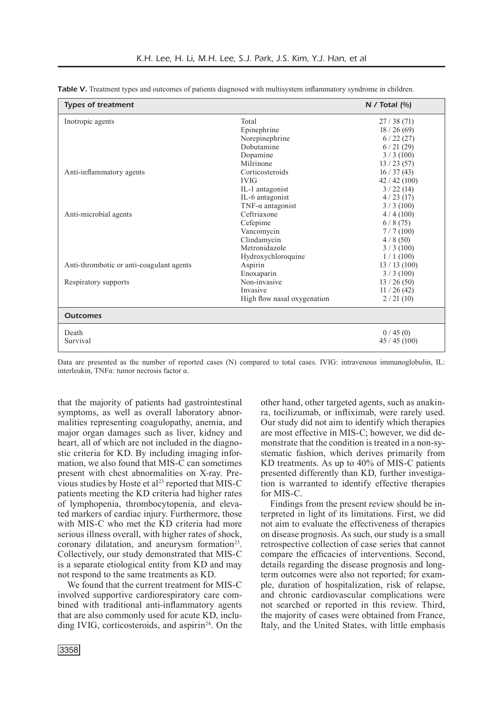| <b>Types of treatment</b>                |                             | N / Total (%) |
|------------------------------------------|-----------------------------|---------------|
| Inotropic agents                         | Total                       | 27/38(71)     |
|                                          | Epinephrine                 | 18/26(69)     |
|                                          | Norepinephrine              | 6/22(27)      |
|                                          | Dobutamine                  | 6/21(29)      |
|                                          | Dopamine                    | 3/3(100)      |
|                                          | Milrinone                   | 13/23(57)     |
| Anti-inflammatory agents                 | Corticosteroids             | 16 / 37 (43)  |
|                                          | <b>IVIG</b>                 | 42/42(100)    |
|                                          | IL-1 antagonist             | 3/22(14)      |
|                                          | IL-6 antagonist             | 4/23(17)      |
|                                          | $TNF-\alpha$ antagonist     | 3/3(100)      |
| Anti-microbial agents                    | Ceftriaxone                 | 4/4(100)      |
|                                          | Cefepime                    | 6/8(75)       |
|                                          | Vancomycin                  | 7/7(100)      |
|                                          | Clindamycin                 | 4/8(50)       |
|                                          | Metronidazole               | 3/3(100)      |
|                                          | Hydroxychloroquine          | 1/1(100)      |
| Anti-thrombotic or anti-coagulant agents | Aspirin                     | 13/13(100)    |
|                                          | Enoxaparin                  | 3/3(100)      |
| Respiratory supports                     | Non-invasive                | 13/26(50)     |
|                                          | Invasive                    | 11/26(42)     |
|                                          | High flow nasal oxygenation | 2/21(10)      |
| <b>Outcomes</b>                          |                             |               |
| Death                                    |                             | 0/45(0)       |
| Survival                                 |                             | 45/45(100)    |

Table V. Treatment types and outcomes of patients diagnosed with multisystem inflammatory syndrome in children.

Data are presented as the number of reported cases (N) compared to total cases. IVIG: intravenous immunoglobulin, IL: interleukin, TNFα: tumor necrosis factor α.

that the majority of patients had gastrointestinal symptoms, as well as overall laboratory abnormalities representing coagulopathy, anemia, and major organ damages such as liver, kidney and heart, all of which are not included in the diagnostic criteria for KD. By including imaging information, we also found that MIS-C can sometimes present with chest abnormalities on X-ray. Previous studies by Hoste et al<sup>23</sup> reported that MIS-C patients meeting the KD criteria had higher rates of lymphopenia, thrombocytopenia, and elevated markers of cardiac injury. Furthermore, those with MIS-C who met the KD criteria had more serious illness overall, with higher rates of shock, coronary dilatation, and aneurysm formation $2<sup>3</sup>$ . Collectively, our study demonstrated that MIS-C is a separate etiological entity from KD and may not respond to the same treatments as KD.

We found that the current treatment for MIS-C involved supportive cardiorespiratory care combined with traditional anti-inflammatory agents that are also commonly used for acute KD, including IVIG, corticosteroids, and aspirin<sup>24</sup>. On the other hand, other targeted agents, such as anakinra, tocilizumab, or infliximab, were rarely used. Our study did not aim to identify which therapies are most effective in MIS-C; however, we did demonstrate that the condition is treated in a non-systematic fashion, which derives primarily from KD treatments. As up to 40% of MIS-C patients presented differently than KD, further investigation is warranted to identify effective therapies for MIS-C.

Findings from the present review should be interpreted in light of its limitations. First, we did not aim to evaluate the effectiveness of therapies on disease prognosis. As such, our study is a small retrospective collection of case series that cannot compare the efficacies of interventions. Second, details regarding the disease prognosis and longterm outcomes were also not reported; for example, duration of hospitalization, risk of relapse, and chronic cardiovascular complications were not searched or reported in this review. Third, the majority of cases were obtained from France, Italy, and the United States, with little emphasis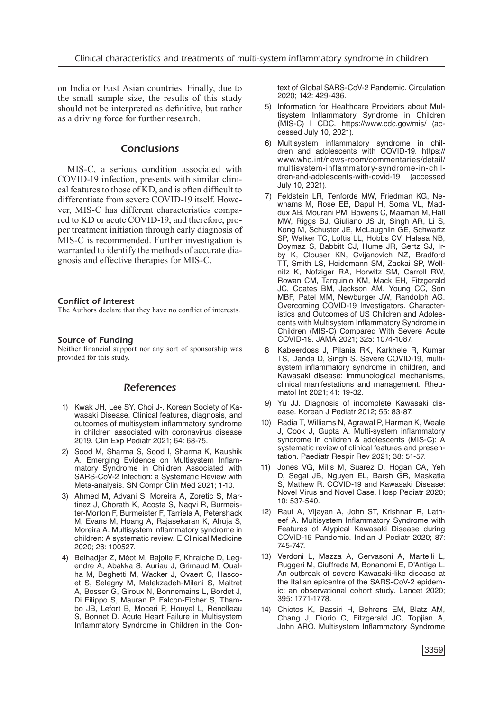on India or East Asian countries. Finally, due to the small sample size, the results of this study should not be interpreted as definitive, but rather as a driving force for further research.

#### **Conclusions**

MIS-C, a serious condition associated with COVID-19 infection, presents with similar clinical features to those of KD, and is often difficult to differentiate from severe COVID-19 itself. However, MIS-C has different characteristics compared to KD or acute COVID-19; and therefore, proper treatment initiation through early diagnosis of MIS-C is recommended. Further investigation is warranted to identify the methods of accurate diagnosis and effective therapies for MIS-C.

#### Conflict of Interest

The Authors declare that they have no conflict of interests.

#### Source of Funding

Neither financial support nor any sort of sponsorship was provided for this study.

#### References

- 1) Kwak JH, Lee SY, Choi J-, Korean Society of Kawasaki Disease. Clinical features, diagnosis, and outcomes of multisystem inflammatory syndrome in children associated with coronavirus disease 2019. Clin Exp Pediatr 2021; 64: 68-75.
- 2) Sood M, Sharma S, Sood I, Sharma K, Kaushik A. Emerging Evidence on Multisystem Inflammatory Syndrome in Children Associated with SARS-CoV-2 Infection: a Systematic Review with Meta-analysis. SN Compr Clin Med 2021; 1-10.
- 3) Ahmed M, Advani S, Moreira A, Zoretic S, Martinez J, Chorath K, Acosta S, Naqvi R, Burmeister-Morton F, Burmeister F, Tarriela A, Petershack M, Evans M, Hoang A, Rajasekaran K, Ahuja S, Moreira A. Multisystem inflammatory syndrome in children: A systematic review. E Clinical Medicine 2020; 26: 100527.
- 4) Belhadjer Z, Méot M, Bajolle F, Khraiche D, Legendre A, Abakka S, Auriau J, Grimaud M, Oualha M, Beghetti M, Wacker J, Ovaert C, Hascoet S, Selegny M, Malekzadeh-Milani S, Maltret A, Bosser G, Giroux N, Bonnemains L, Bordet J, Di Filippo S, Mauran P, Falcon-Eicher S, Thambo JB, Lefort B, Moceri P, Houyel L, Renolleau S, Bonnet D. Acute Heart Failure in Multisystem Inflammatory Syndrome in Children in the Con-

text of Global SARS-CoV-2 Pandemic. Circulation 2020; 142: 429-436.

- 5) Information for Healthcare Providers about Multisystem Inflammatory Syndrome in Children (MIS-C) | CDC. https://www.cdc.gov/mis/ (accessed July 10, 2021).
- 6) Multisystem inflammatory syndrome in children and adolescents with COVID-19. https:// www.who.int/news-room/commentaries/detail/ multisystem-inflammatory-syndrome-in-children-and-adolescents-with-covid-19 (accessed July 10, 2021).
- 7) Feldstein LR, Tenforde MW, Friedman KG, Newhams M, Rose EB, Dapul H, Soma VL, Maddux AB, Mourani PM, Bowens C, Maamari M, Hall MW, Riggs BJ, Giuliano JS Jr, Singh AR, Li S, Kong M, Schuster JE, McLaughlin GE, Schwartz SP, Walker TC, Loftis LL, Hobbs CV, Halasa NB, Doymaz S, Babbitt CJ, Hume JR, Gertz SJ, Irby K, Clouser KN, Cvijanovich NZ, Bradford TT, Smith LS, Heidemann SM, Zackai SP, Wellnitz K, Nofziger RA, Horwitz SM, Carroll RW, Rowan CM, Tarquinio KM, Mack EH, Fitzgerald JC, Coates BM, Jackson AM, Young CC, Son MBF, Patel MM, Newburger JW, Randolph AG. Overcoming COVID-19 Investigators. Characteristics and Outcomes of US Children and Adolescents with Multisystem Inflammatory Syndrome in Children (MIS-C) Compared With Severe Acute COVID-19. JAMA 2021; 325: 1074-1087.
- Kabeerdoss J, Pilania RK, Karkhele R, Kumar TS, Danda D, Singh S. Severe COVID-19, multisystem inflammatory syndrome in children, and Kawasaki disease: immunological mechanisms, clinical manifestations and management. Rheumatol Int 2021; 41: 19-32.
- 9) Yu JJ. Diagnosis of incomplete Kawasaki disease. Korean J Pediatr 2012; 55: 83-87.
- 10) Radia T, Williams N, Agrawal P, Harman K, Weale J, Cook J, Gupta A. Multi-system inflammatory syndrome in children & adolescents (MIS-C): A systematic review of clinical features and presentation. Paediatr Respir Rev 2021; 38: 51-57.
- 11) Jones VG, Mills M, Suarez D, Hogan CA, Yeh D, Segal JB, Nguyen EL, Barsh GR, Maskatia S, Mathew R. COVID-19 and Kawasaki Disease: Novel Virus and Novel Case. Hosp Pediatr 2020; 10: 537-540.
- 12) Rauf A, Vijayan A, John ST, Krishnan R, Latheef A. Multisystem Inflammatory Syndrome with Features of Atypical Kawasaki Disease during COVID-19 Pandemic. Indian J Pediatr 2020; 87: 745-747.
- 13) Verdoni L, Mazza A, Gervasoni A, Martelli L, Ruggeri M, Ciuffreda M, Bonanomi E, D'Antiga L. An outbreak of severe Kawasaki-like disease at the Italian epicentre of the SARS-CoV-2 epidemic: an observational cohort study. Lancet 2020; 395: 1771-1778.
- 14) Chiotos K, Bassiri H, Behrens EM, Blatz AM, Chang J, Diorio C, Fitzgerald JC, Topjian A, John ARO. Multisystem Inflammatory Syndrome